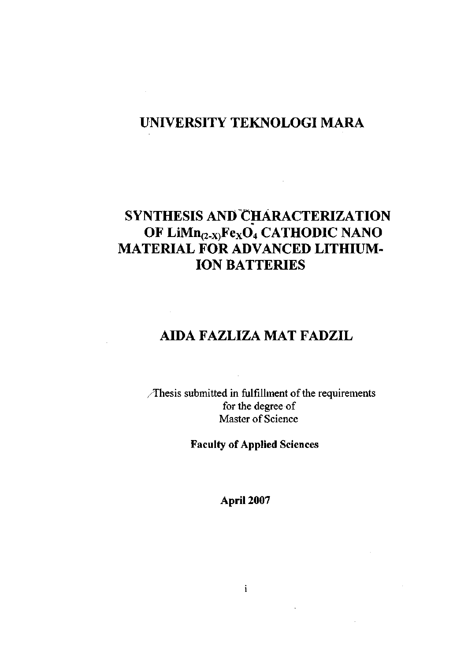## **UNIVERSITY TEKNOLOGI MARA**

 $\mathcal{A}$ 

# **SYNTHESIS AND CHARACTERIZATION OF LiMn(2\_x)Fex04 CATHODIC NANO MATERIAL FOR ADVANCED LITHIUM-ION BATTERIES**

## **AIDA FAZLIZA MAT FADZIL**

/Thesis submitted in fulfillment of the requirements for the degree of Master of Science

**Faculty of Applied Sciences** 

**April 2007**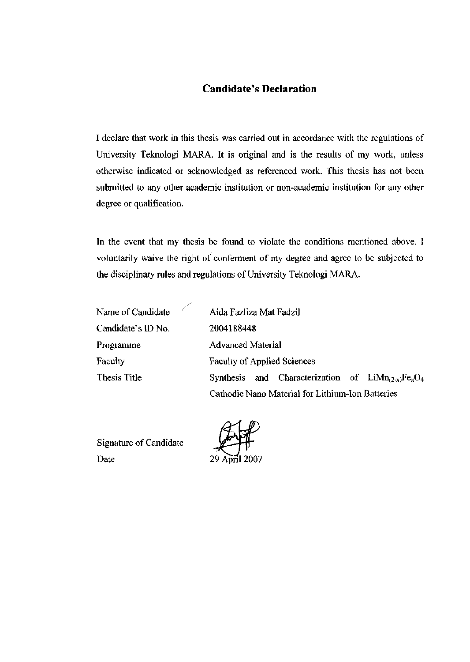### Candidate's Declaration

I declare that work in this thesis was carried out in accordance with the regulations of University Teknologi MARA. It is original and is the results of my work, unless otherwise indicated or acknowledged as referenced work. This thesis has not been submitted to any other academic institution or non-academic institution for any other degree or qualification.

In the event that my thesis be found to violate the conditions mentioned above. I voluntarily waive the right of conferment of my degree and agree to be subjected to the disciplinary rules and regulations of University Teknologi MARA.

| Name of Candidate  | Aida Fazliza Mat Fadzil                               |
|--------------------|-------------------------------------------------------|
| Candidate's ID No. | 2004188448                                            |
| Programme          | <b>Advanced Material</b>                              |
| Faculty            | <b>Faculty of Applied Sciences</b>                    |
| Thesis Title       | Synthesis and Characterization of $LiMn_{(2-x)}FexO4$ |
|                    | Cathodic Nano Material for Lithium-Ion Batteries      |

Signature of Candidate Date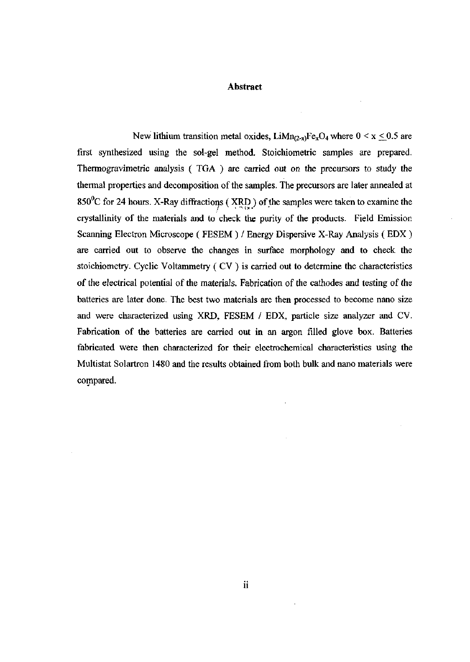#### **Abstract**

New lithium transition metal oxides, LiMn<sub>(2-x)</sub>Fe<sub>x</sub>O<sub>4</sub> where  $0 \le x \le 0.5$  are first synthesized using the sol-gel method. Stoichiometric samples are prepared. Thermogravimetric analysis ( TGA ) are carried out on the precursors to study the thermal properties and decomposition of the samples. The precursors are later annealed at 850°C for 24 hours. X-Ray diffractions (XRD) of the samples were taken to examine the crystallinity of the materials and to check the purity of the products. Field Emission Scanning Electron Microscope ( FESEM ) / Energy Dispersive X-Ray Analysis ( EDX ) are carried out to observe the changes in surface morphology and to check the stoichiometry. Cyclic Voltammetry ( CV ) is carried out to determine the characteristics of the electrical potential of the materials. Fabrication of the cathodes and testing of the batteries are later done. The best two materials are then processed to become nano size and were characterized using XRD, FESEM / EDX, particle size analyzer and CV. Fabrication of the batteries are carried out in an argon filled glove box. Batteries fabricated were then characterized for their electrochemical characteristics using the Multistat Solartron 1480 and the results obtained from both bulk and nano materials were compared.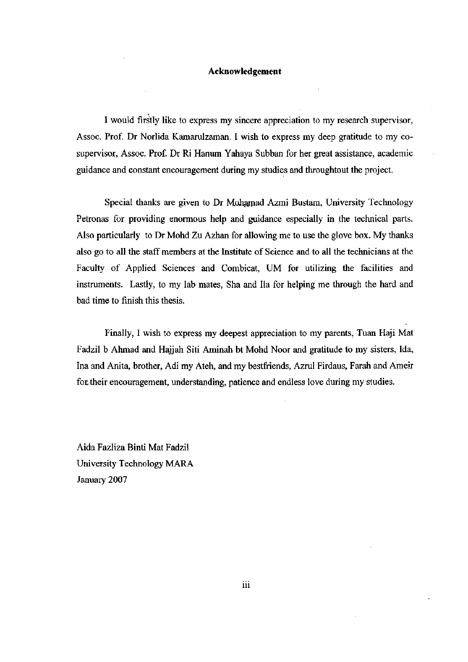#### **Acknowledgement**

I would firstly like to express my sincere appreciation to my research supervisor, Assoc. Prof. Dr Norlida Kamarulzaman. I wish to express my deep gratitude to my cosupervisor, Assoc. Prof. Dr Ri Hanum Yahaya Subban for her great assistance, academic guidance and constant encouragement during my studies and throughtout the project.

Special thanks are given to Dr Mohamad Azmi Bustam, University Technology Petronas for providing enormous help and guidance especially in the technical parts. Also particularly to Dr Mohd Zu Azhan for allowing me to use the glove box. My thanks also go to all the staff members at the Institute of Science and to all the technicians at the Faculty of Applied Sciences and Combicat, UM for utilizing the facilities and instruments. Lastly, to my lab mates, Sha and Ha for helping me through the hard and bad time to finish this thesis.

Finally, I wish to express my deepest appreciation to my parents, Tuan Haji Mat Fadzil b Ahmad and Hajjah Siti Aminah bt Mohd Noor and gratitude to my sisters, Ida, Ina and Anita, brother, Adi my Ateh, and my bestfriends, Azrul Firdaus, Farah and Ameir for their encouragement, understanding, patience and endless love during my studies.

Aida Fazliza Binti Mat Fadzil University Technology MARA January 2007

iii